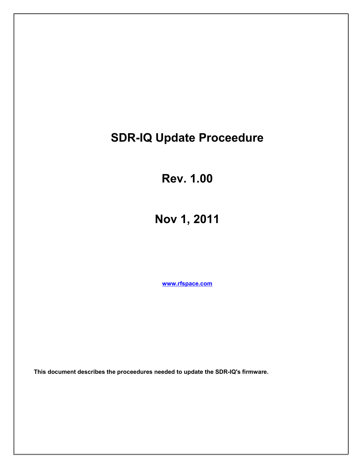# **SDR-IQ Update Proceedure**

**Rev. 1.00**

**Nov 1, 2011**

**[www.rfspace.com](http://www.rfspace.com/)**

**This document describes the proceedures needed to update the SDR-IQ's firmware.**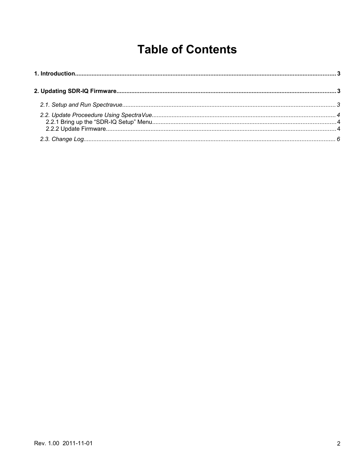# **Table of Contents**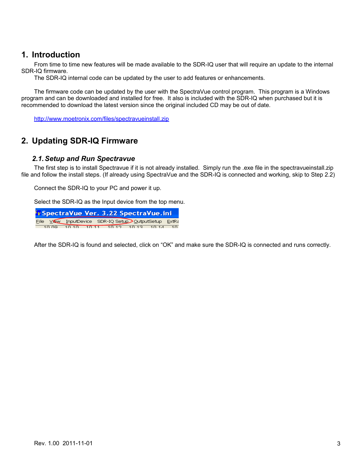## **1. Introduction**

From time to time new features will be made available to the SDR-IQ user that will require an update to the internal SDR-IQ firmware.

The SDR-IQ internal code can be updated by the user to add features or enhancements.

The firmware code can be updated by the user with the SpectraVue control program. This program is a Windows program and can be downloaded and installed for free. It also is included with the SDR-IQ when purchased but it is recommended to download the latest version since the original included CD may be out of date.

<http://www.moetronix.com/files/spectravueinstall.zip>

## **2. Updating SDR-IQ Firmware**

#### *2.1.Setup and Run Spectravue*

The first step is to install Spectravue if it is not already installed. Simply run the .exe file in the spectravueinstall.zip file and follow the install steps. (If already using SpectraVue and the SDR-IQ is connected and working, skip to Step 2.2)

Connect the SDR-IQ to your PC and power it up.

Select the SDR-IQ as the Input device from the top menu.

| Vy SpectraVue Ver. 3.22 SpectraVue.ini |  |                                                      |  |  |  |  |  |
|----------------------------------------|--|------------------------------------------------------|--|--|--|--|--|
|                                        |  | File View InputDevice SDR-IQ Setup OutputSetup ExtRa |  |  |  |  |  |
|                                        |  | 10.09 10.10 10.11 10.12 10.12 10.14 10               |  |  |  |  |  |

After the SDR-IQ is found and selected, click on "OK" and make sure the SDR-IQ is connected and runs correctly.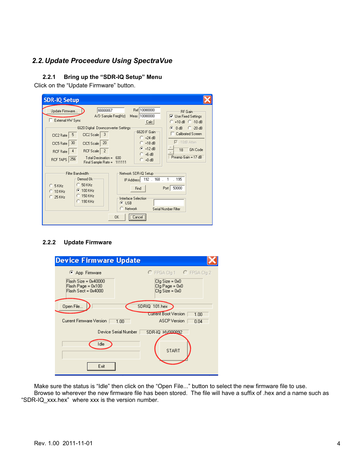## *2.2.Update Proceedure Using SpectraVue*

#### **2.2.1 Bring up the "SDR-IQ Setup" Menu**

Click on the "Update Firmware" button.

| <b>SDR-IQ Setup</b>                                                                                                                                                                                                                                                                                                                                                                                                                                                                                                                                                                                                                                                           |
|-------------------------------------------------------------------------------------------------------------------------------------------------------------------------------------------------------------------------------------------------------------------------------------------------------------------------------------------------------------------------------------------------------------------------------------------------------------------------------------------------------------------------------------------------------------------------------------------------------------------------------------------------------------------------------|
| Ref 10000000<br>66666667<br>Update Firmware<br><b>RF</b> Gain:<br>Meas 10000000<br>A/D Sample Freq(Hz)<br>$\nabla$ Use Fixed Settings<br>External HW Sync<br>$C + 10$ dB $C - 10$ dB<br>Calc  <br>6620 Digital Downconverter Settings<br>G<br>$C$ -20 dB<br>0 dB<br>6620 IF Gain<br>Calibrated Screen<br>3<br>CIC2 Scale<br>5<br>CIC2 Rate<br>$C$ +24 dB<br>$\nabla$ -10dB Atten<br>20<br>30<br>$C$ +18 dB<br>CIC5 Rate<br>CIC5 Scale<br>$F + 12 dB$<br><b>GN Code</b><br>18<br>$\overline{2}$<br><b>RCF</b> Scale<br>4<br>RCF Rate<br>$C + 6$ dB<br>Preamp Gain = 17 dB<br>Total Decimation =<br>600<br>256<br><b>RCF TAPS</b><br>$C +0$ dB<br>111111<br>Final Sample Rate = |
| Filter Bandwidth<br>Network SDR-IQ Setup<br>Demod Ok<br>IP Address 192 . 168 .<br>. 195<br>$\overline{1}$<br>50 KHz<br>o<br>5 KHz<br>50000<br>Port  <br>Find<br>100 KHz<br>Œ<br>10 KHz<br>150 KHz<br>25 KHz<br>Interface Selection<br>$C$ 190 KHz<br>$G$ USB<br>C Network<br>Serial Number Filter<br><br>OK.<br>Cancel<br>                                                                                                                                                                                                                                                                                                                                                    |

#### **2.2.2 Update Firmware**

| <b>Device Firmware Update</b>                                         |                                                        |  |  |  |  |  |
|-----------------------------------------------------------------------|--------------------------------------------------------|--|--|--|--|--|
| App Firmware                                                          | C FPGA Cfg 1 C FPGA Cfg 2                              |  |  |  |  |  |
| $Flash Size = 0x40000$<br>Flash Page = 0x100<br>$Flash Sect = 0x4000$ | $Cfg Size = 0x0$<br>Cfg Page = 0x0<br>$Cfq Size = 0x0$ |  |  |  |  |  |
| Open File                                                             | SDRIQ 101.hex                                          |  |  |  |  |  |
|                                                                       | <b>Current Boot Version</b><br>1.00                    |  |  |  |  |  |
| Current Firmware Version<br>1.00                                      | <b>ASCP</b> Version<br>0.04                            |  |  |  |  |  |
| Device Serial Number  <br>SDR-IQ HV000892                             |                                                        |  |  |  |  |  |
| Idle                                                                  | <b>START</b>                                           |  |  |  |  |  |
| Exit                                                                  |                                                        |  |  |  |  |  |

Make sure the status is "Idle" then click on the "Open File..." button to select the new firmware file to use. Browse to wherever the new firmware file has been stored. The file will have a suffix of .hex and a name such as "SDR-IQ\_xxx.hex" where xxx is the version number.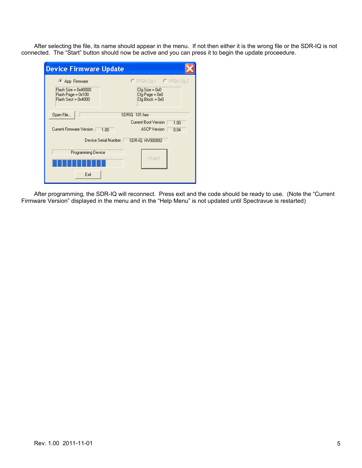After selecting the file, its name should appear in the menu. If not then either it is the wrong file or the SDR-IQ is not connected. The "Start" button should now be active and you can press it to begin the update proceedure.

| <b>Device Firmware Update</b>                                       |                                                         |  |  |  |  |
|---------------------------------------------------------------------|---------------------------------------------------------|--|--|--|--|
| C App Firmware                                                      | C FPGA Cfg 1 C FPGA Cfg 2                               |  |  |  |  |
| Flash Size = 0x40000<br>Flash Page = 0x100<br>$Flash Sect = 0x4000$ | $Cfg Size = 0x0$<br>Cfg Page = 0x0<br>$Cfq Block = 0x0$ |  |  |  |  |
| Open File<br>SDRIQ 101.hex                                          |                                                         |  |  |  |  |
|                                                                     | Current Boot Version<br>1.00                            |  |  |  |  |
| Current Firmware Version<br>1.00                                    | <b>ASCP</b> Version<br>0.04                             |  |  |  |  |
| Device Serial Number<br>SDR-IQ HV000892                             |                                                         |  |  |  |  |
| Programming Device                                                  |                                                         |  |  |  |  |
| <b>START</b>                                                        |                                                         |  |  |  |  |
| Exit                                                                |                                                         |  |  |  |  |

After programming, the SDR-IQ will reconnect. Press exit and the code should be ready to use. (Note the "Current Firmware Version" displayed in the menu and in the "Help Menu" is not updated until Spectravue is restarted)